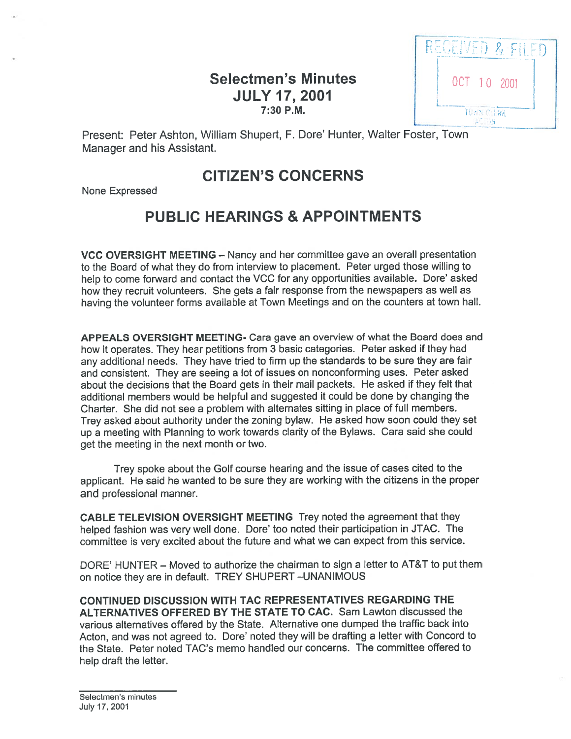# Selectmen's Minutes **ISBN 0CT 10 2001**  $JULY$  17, 2001  $\frac{1}{10000 \text{ CGeV}}$



Present: Peter Ashton, William Shupert, F. Dore' Hunter, Walter Foster, Town Manager and his Assistant.

# CITIZEN'S CONCERNS

None Expressed

# PUBLIC HEARINGS & APPOINTMENTS

VCC OVERSIGHT MEETING — Nancy and her committee gave an overall presentation to the Board of what they do from interview to <sup>p</sup>lacement. Peter urged those willing to help to come forward and contact the VCC for any opportunities available. Dore' asked how they recruit volunteers. She gets <sup>a</sup> fair response from the newspapers as well as having the volunteer forms available at Town Meetings and on the counters at town hail.

APPEALS OVERSIGHT MEETING- Cara gave an overview of what the Board does and how it operates. They hear petitions from 3 basic categories. Peter asked if they had any additional needs. They have tried to firm up the standards to be sure they are fair and consistent. They are seeing <sup>a</sup> lot of issues on nonconforming uses. Peter asked about the decisions that the Board gets in their mail packets. He asked if they felt that additional members would be helpful and suggested it could be done by changing the Charter. She did not see <sup>a</sup> problem with alternates sitting in place of full members. Trey asked about authority under the zoning bylaw. He asked how soon could they set up <sup>a</sup> meeting with Planning to work towards clarity of the Bylaws. Cara said she could ge<sup>t</sup> the meeting in the next month or two.

Trey spoke about the Golf course hearing and the issue of cases cited to the applicant. He said he wanted to be sure they are working with the citizens in the proper and professional manner.

CABLE TELEVISION OVERSIGHT MEETING Trey noted the agreemen<sup>t</sup> that they helped fashion was very well done. Dore' too noted their participation in JTAC. The committee is very excited about the future and what we can expec<sup>t</sup> from this service.

DORE' HUNTER — Moved to authorize the chairman to sign <sup>a</sup> letter to AT&T to pu<sup>t</sup> them on notice they are in default. TREY SHUPERT —UNANIMOUS

CONTINUED DISCUSSION WITH TAC REPRESENTATIVES REGARDING THE ALTERNATIVES OFFERED BY THE STATE TO CAC. Sam Lawton discussed the various alternatives offered by the State. Alternative one dumped the traffic back into Acton, and was not agreed to. Dore' noted they will be drafting <sup>a</sup> letter with Concord to the State. Peter noted TAC's memo handled our concerns. The committee offered to help draft the letter.

Selectmen's minutes July 17, 2001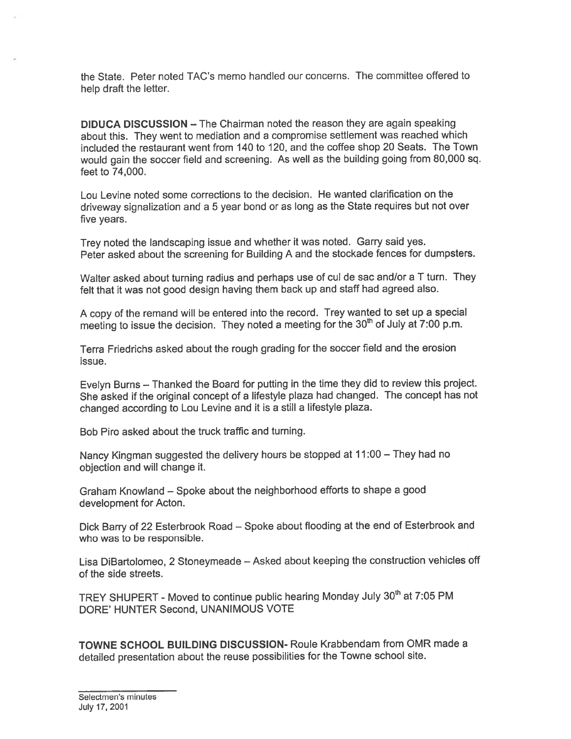the State. Peter noted TAG's memo handled our concerns. The committee offered to help draft the letter.

DIDUCA DISCUSSION — The Chairman noted the reason they are again speaking about this. They went to mediation and <sup>a</sup> compromise settlement was reached which included the restaurant went from 140 to 120, and the coffee shop 20 Seats. The Town would gain the soccer field and screening. As well as the building going from 80,000 sq. feet to 74,000.

Lou Levine noted some corrections to the decision. He wanted clarification on the driveway signalization and <sup>a</sup> <sup>5</sup> year bond or as long as the State requires but not over five years.

Trey noted the landscaping issue and whether it was noted. Garry said yes. Peter asked about the screening for Building <sup>A</sup> and the stockade fences for dumpsters.

Walter asked about turning radius and perhaps use of cul de sac and/or <sup>a</sup> <sup>T</sup> turn. They felt that it was not goo<sup>d</sup> design having them back up and staff had agree<sup>d</sup> also.

<sup>A</sup> copy of the remand will be entered into the record. Trey wanted to set up <sup>a</sup> special meeting to issue the decision. They noted a meeting for the  $30<sup>th</sup>$  of July at 7:00 p.m.

Terra Friedrichs asked about the rough grading for the soccer field and the erosion issue.

Evelyn Burns — Thanked the Board for putting in the time they did to review this project. She asked if the original concep<sup>t</sup> of <sup>a</sup> lifestyle <sup>p</sup>laza had changed. The concep<sup>t</sup> has not changed according to Lou Levine and it is <sup>a</sup> still <sup>a</sup> lifestyle <sup>p</sup>laza.

Bob Piro asked about the truck traffic and turning.

Nancy Kingman suggested the delivery hours be stopped at 11:00 — They had no objection and will change it.

Graham Knowland — Spoke about the neighborhood efforts to shape <sup>a</sup> goo<sup>d</sup> development for Acton.

Dick Barry of <sup>22</sup> Esterbrook Road — Spoke about flooding at the end of Esterbrook and who was to be responsible.

Lisa DiBartolomeo, <sup>2</sup> Stoneymeade — Asked about keeping the construction vehicles off of the side streets.

TREY SHUPERT - Moved to continue public hearing Monday July 30<sup>th</sup> at 7:05 PM DORE' HUNTER Second, UNANIMOUS VOTE

TOWNE SCHOOL BUILDING DISCUSSION- Roule Krabbendam from OMR made <sup>a</sup> detailed presentation about the reuse possibilities for the Towne school site.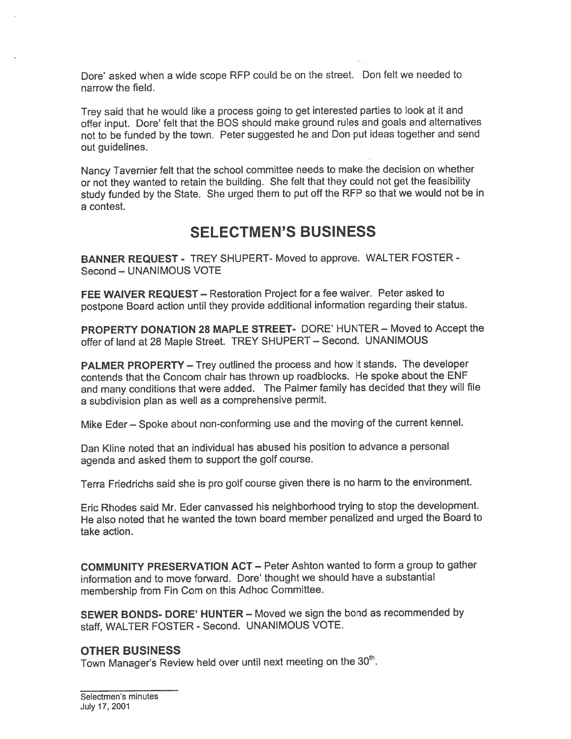Dore' asked when <sup>a</sup> wide scope REP could be on the street. Don felt we needed to narrow the field.

Trey said that he would like <sup>a</sup> process going to ge<sup>t</sup> interested parties to look at it and offer input. Dore' felt that the BOS should make groun<sup>d</sup> rules and goals and alternatives not to be funded by the town. Peter suggested he and Don pu<sup>t</sup> ideas together and send out guidelines.

Nancy Tavernier felt that the school committee needs to make the decision on whether or not they wanted to retain the building. She felt that they could not ge<sup>t</sup> the feasibility study funded by the State. She urge<sup>d</sup> them to pu<sup>t</sup> off the RFP so that we would not be in a contest.

# SELECTMEN'S BUSINESS

BANNER REQUEST - TREY SHUPERT- Moved to approve. WALTER FOSTER -Second — UNANIMOUS VOTE

FEE WAIVER REQUEST — Restoration Project for <sup>a</sup> fee waiver. Peter asked to postpone Board action until they provide additional information regarding their status.

PROPERTY DONATION 28 MAPLE STREET- DORE' HUNTER — Moved to Accept the offer of land at <sup>28</sup> Maple Street. TREY SHUPERT — Second. UNANIMOUS

PALMER PROPERTY - Trey outlined the process and how it stands. The developer contends that the Concom chair has thrown up roadblocks. He spoke about the ENF and many conditions that were added. The Palmer family has decided that they will file <sup>a</sup> subdivision <sup>p</sup>lan as well as <sup>a</sup> comprehensive permit.

Mike Eder — Spoke about non-conforming use and the moving of the current kennel.

Dan Kline noted that an individual has abused his position to advance <sup>a</sup> persona<sup>l</sup> agenda and asked them to suppor<sup>t</sup> the golf course.

Terra Friedrichs said she is pro golf course <sup>g</sup>iven there is no harm to the environment.

Eric Rhodes said Mr. Eder canvassed his neighborhood trying to stop the development. He also noted that he wanted the town board member penalized and urged the Board to take action.

COMMUNITY PRESERVATION ACT — Peter Ashton wanted to form <sup>a</sup> group to gather information and to move forward. Dore' thought we should have <sup>a</sup> substantial membership from Fin Com on this Adhoc Committee.

SEWER BONDS- DORE' HUNTER — Moved we sign the bond as recommended by staff, WALTER FOSTER - Second. UNANIMOUS VOTE.

#### OTHER BUSINESS

Town Manager's Review held over until next meeting on the 30<sup>th</sup>.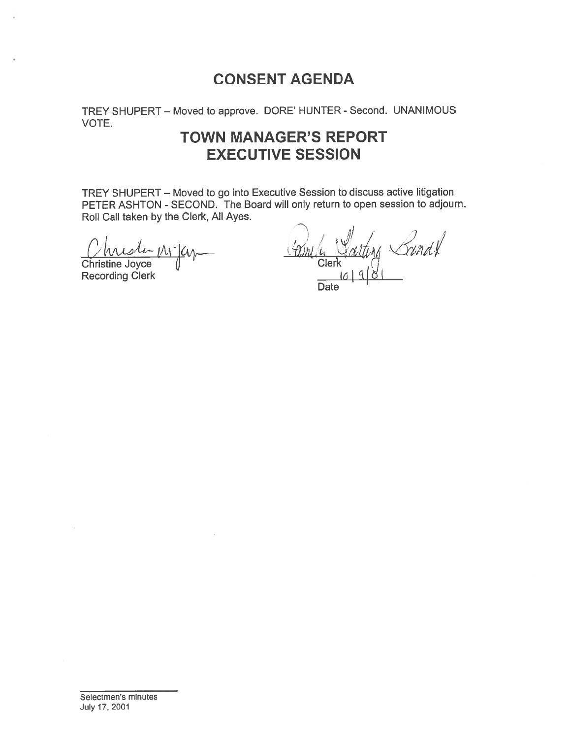# CONSENT AGENDA

TREY SHUPERT — Moved to approve. DORE' HUNTER - Second. UNANIMOUS VOTE.

# TOWN MANAGER'S REPORT EXECUTIVE SESSION

TREY SHUPERT — Moved to go into Executive Session to discuss active litigation PETER ASHTON - SECOND. The Board will only return to open session to adjourn. Roll Call taken by the Clerk, All Ayes. CONSENT AGENDA<br>
REY SHUPERT – Moved to approve. DORE' HUNTER - Se<br>
OTE.<br>
TOWN MANAGER'S REPC<br>
EXECUTIVE SESSION<br>
REY SHUPERT – Moved to go into Executive Session to dis<br>
ETER ASHTON - SECOND. The Board will only return to

Christine Joyce

**Recording Clerk** 

wiste Mijen Grimla Salting Sandt

 $\sim$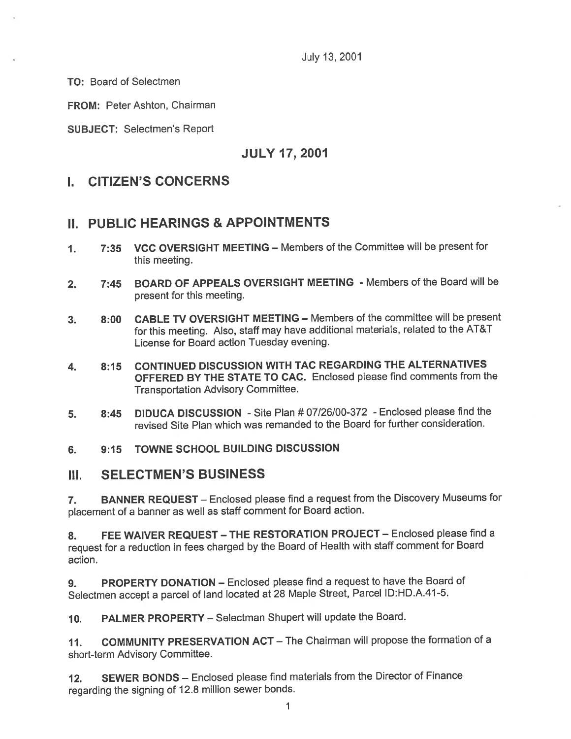July 13, 2001

TO: Board of Selectmen

FROM: Peter Ashton, Chairman

SUBJECT: Selectmen's Report

### JULY 17, 2001

## I. CITIZEN'S CONCERNS

### II. PUBLIC HEARINGS & APPOINTMENTS

- 1. 7:35 VCC OVERSIGHT MEETING Members of the Committee will be presen<sup>t</sup> for this meeting.
- 2. 7:45 BOARD OF APPEALS OVERSIGHT MEETING Members of the Board will be presen<sup>t</sup> for this meeting.
- 3. 8:00 CABLE TV OVERSIGHT MEETING Members of the committee will be presen<sup>t</sup> for this meeting. Also, staff may have additional materials, related to the AT&T License for Board action Tuesday evening.
- 4. 8:15 CONTINUED DISCUSSION WITH TAC REGARDING THE ALTERNATIVES OFFERED BY THE STATE TO CAC. Enclosed <sup>p</sup>lease find comments from the Transportation Advisory Committee.
- 5. 8:45 DIDUCA DISCUSSION Site Plan # 07/26/00-372 Enclosed <sup>p</sup>lease find the revised Site Plan which was remanded to the Board for further consideration.

#### 6. 9:15 TOWNE SCHOOL BUILDING DISCUSSION

### III. SELECTMEN'S BUSINESS

7. BANNER REQUEST — Enclosed <sup>p</sup>lease find <sup>a</sup> reques<sup>t</sup> from the Discovery Museums for <sup>p</sup>lacement of <sup>a</sup> banner as well as staff comment for Board action.

8. FEE WAIVER REQUEST - THE RESTORATION PROJECT - Enclosed please find a reques<sup>t</sup> for <sup>a</sup> reduction in fees charged by the Board of Health with staff comment for Board action.

9. PROPERTY DONATION - Enclosed please find a request to have the Board of Selectmen accep<sup>t</sup> <sup>a</sup> parce<sup>l</sup> of land located at <sup>28</sup> Maple Street, Parcel lD:HD.A.41-5.

10. PALMER PROPERTY—Selectman Shupert will update the Board.

11. COMMUNITY PRESERVATION ACT — The Chairman will propose the formation of <sup>a</sup> short-term Advisory Committee.

12. SEWER BONDS — Enclosed <sup>p</sup>lease find materials from the Director of Finance regarding the signing of 12.8 million sewer bonds.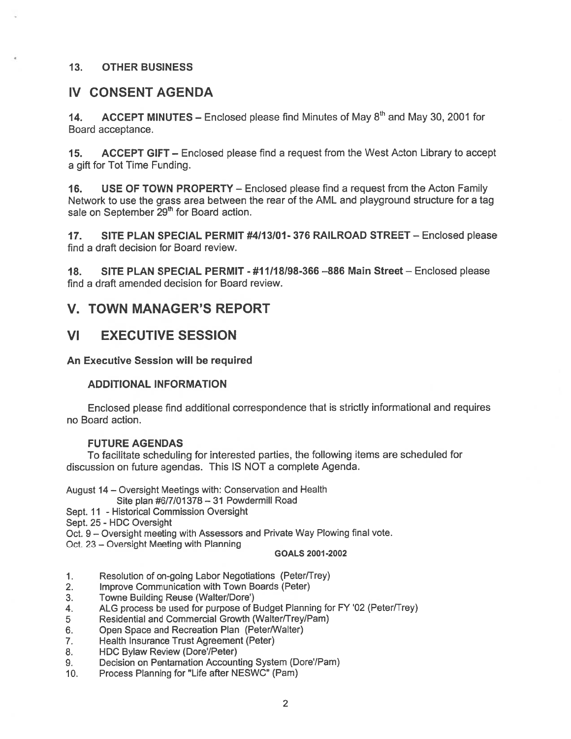#### 13. OTHER BUSINESS

#### IV CONSENT AGENDA

14. ACCEPT MINUTES – Enclosed please find Minutes of May  $8<sup>th</sup>$  and May 30, 2001 for Board acceptance.

15. ACCEPT GIFT – Enclosed please find a request from the West Acton Library to accept <sup>a</sup> gift for Tot Time Funding.

16. USE OF TOWN PROPERTY - Enclosed please find a request from the Acton Family Network to use the grass area between the tear of the AML and playground structure for <sup>a</sup> tag sale on September 29<sup>th</sup> for Board action.

17. SITE PLAN SPECIAL PERMIT #4/13/01- 376 RAILROAD STREET — Enclosed please find <sup>a</sup> draft decision for Board review.

18. SITE PLAN SPECIAL PERMIT - #11118/98-366 —886 Main Street — Enclosed please find <sup>a</sup> draft amended decision for Board review.

### V. TOWN MANAGER'S REPORT

### VI EXECUTIVE SESSION

An Executive Session will be required

#### ADDITIONAL INFORMATION

Enclosed <sup>p</sup>lease find additional correspondence that is strictly informational and requires no Board action.

#### FUTURE AGENDAS

To facilitate scheduling for interested parties, the following items are scheduled for discussion on future agendas. This IS NOT <sup>a</sup> complete Agenda.

August <sup>14</sup> — Oversight Meetings with: Conservation and Health

Site plan #6/7/01378—31 Powdermill Road

Sept. 11 - Historical Commission Oversight

Sept. 25 - HDC Oversight

Oct. <sup>9</sup> — Oversight meeting with Assessors and Private Way Plowing final vote.

Oct. 23 — Oversight Meeting with Planning

#### GOALS 2001-2002

- 1. Resolution of on-going Labor Negotiations (Peter/Trey)
- 2. Improve Communication with Town Boards (Peter)
- 3. Towne Building Reuse (Walter/Dore')
- 4. ALG process be used for purpose of Budget Planning for FY '02 (Peter/Trey)
- 5 Residential and Commercial Growth (Walter/Trey/Pam)
- 6. Open Space and Recreation Plan (Peter/Walter)
- 7. Health Insurance Trust Agreement (Peter)
- 8. HDC Bylaw Review (Dore'/Peter)
- 9. Decision on Pentamation Accounting System (Dore/Pam)
- 10. Process Planning for "Life after NESWC" (Pam)